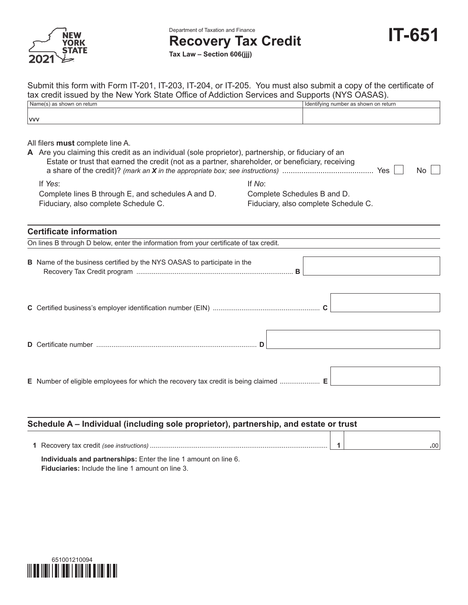

vvv

Department of Taxation and Finance

**Recovery Tax Credit**

**Tax Law – Section 606(jjj)**

| Submit this form with Form IT-201, IT-203, IT-204, or IT-205. You must also submit a copy of the certificate of |                                         |
|-----------------------------------------------------------------------------------------------------------------|-----------------------------------------|
| tax credit issued by the New York State Office of Addiction Services and Supports (NYS OASAS).                  |                                         |
| Name(s) as shown on return                                                                                      | I Identifying number as shown on return |
|                                                                                                                 |                                         |

All filers **must** complete line A.

| A Are you claiming this credit as an individual (sole proprietor), partnership, or fiduciary of an<br>Estate or trust that earned the credit (not as a partner, shareholder, or beneficiary, receiving<br>Yes |                                      |  |  |  |  |  |
|---------------------------------------------------------------------------------------------------------------------------------------------------------------------------------------------------------------|--------------------------------------|--|--|--|--|--|
| If Yes:                                                                                                                                                                                                       | If No:                               |  |  |  |  |  |
| Complete lines B through E, and schedules A and D.                                                                                                                                                            | Complete Schedules B and D.          |  |  |  |  |  |
| Fiduciary, also complete Schedule C.                                                                                                                                                                          | Fiduciary, also complete Schedule C. |  |  |  |  |  |
|                                                                                                                                                                                                               |                                      |  |  |  |  |  |
|                                                                                                                                                                                                               |                                      |  |  |  |  |  |

#### **Certificate information**

On lines B through D below, enter the information from your certificate of tax credit.

**B** Name of the business certified by the NYS OASAS to participate in the Recovery Tax Credit program .................................................................................. **B**

**E** Number of eligible employees for which the recovery tax credit is being claimed ..................... **E**

# **Schedule A – Individual (including sole proprietor), partnership, and estate or trust 1** Recovery tax credit *(see instructions)* ............................................................................................. **1 .**00

**Individuals and partnerships:** Enter the line 1 amount on line 6. **Fiduciaries:** Include the line 1 amount on line 3.